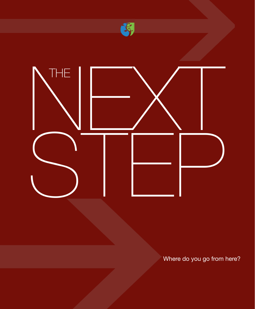

Where do you go from here?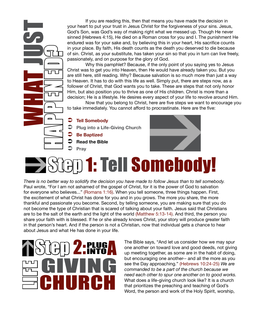If you are reading this, then that means you have made the decision in your heart to put your trust in Jesus Christ for the forgiveness of your sins. Jesus, God's Son, was God's way of making right what we messed up. Though He never sinned (Hebrews 4:15), He died on a Roman cross for you and I. The punishment He endured was for your sake and, by believing this in your heart, His sacrifice counts in your place. By faith, His death counts as the death you deserved to die because of sin. Christ, as your substitute, has taken your sin so that you in turn can live freely, passionately, and on purpose for the glory of God.

Why this pamphlet? Because, if the only point of you saying yes to Jesus Christ was to get you into Heaven, then He would have already taken you. But you are still here, still reading. Why? Because salvation is so much more than just a way to Heaven. It has to do with this life as well. Simply put, there are steps now, as a follower of Christ, that God wants you to take. These are steps that not only honor Him, but also position you to thrive as one of His children. Christ is more than a decision; He is a lifestyle. He desires every aspect of your life to revolve around Him.

Now that you belong to Christ, here are five steps we want to encourage you to take immediately. You cannot afford to procrastinate. Here are the five:

**Tell Somebody** 

- **Plug into a Life-Giving Church**
- **Be Baptized**
- **Read the Bible**

Ü **Pray**

WHAT JUST

TAPPENED<del>?</del>

 $\overline{\phantom{0}}$ 

 $\overline{\phantom{0}}$ 

ו רז ו



## ) **1: Tell Somebody!**

*There is no better way to solidify the decision you have made to follow Jesus than to tell somebody.*  Paul wrote, "For I am not ashamed of the gospel of Christ, for it is the power of God to salvation for everyone who believes..." (Romans 1:16). When you tell someone, three things happen. First, the excitement of what Christ has done for you and in you grows. The more you share, the more thankful and passionate you become. Second, by telling someone, you are making sure that you do not become the type of Christian that is scared of talking about your faith. Jesus said that Christians are to be the salt of the earth and the light of the world (Matthew 5:13-14). And third, the person you share your faith with is blessed. If he or she already knows Christ, your story will produce greater faith in that person's heart. And if the person is not a Christian, now that individual gets a chance to hear about Jesus and what He has done in your life.



Step 2: The Bible says, "And let us consider how we may spure one another on toward love and good deeds, not giving up meeting together, as some are in the habit of doing, one another on toward love and good deeds, not giving up meeting together, as some are in the habit of doing, but encouraging one another-- and all the more as you see the Day approaching." (Hebrews 10:24-25) *We are commanded to be a part of the church because we*  **that does a life-giving church look like? It is a church what does a life-giving church look like? It is a church that prioritizes the preaching and teaching of God's Word, the person and work of the Holy Spirit, worship,** What does a life-giving church look like? It is a church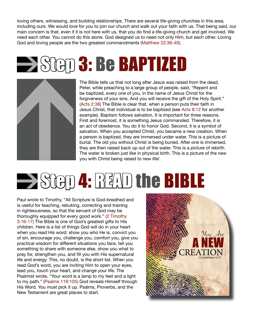loving others, witnessing, and building relationships. There are several life-giving churches in this area, including ours. We would love for you to join our church and walk out your faith with us. That being said, our main concern is that, even if it is not here with us, that you do find a life-giving church and get involved. We need each other. You cannot do this alone. God designed us to need not only Him, but each other. Loving God and loving people are the two greatest commandments (Matthew 22:36-40).

## **Step 3: Be BAPTIZED**



The Bible tells us that not long after Jesus was raised from the dead, Peter, while preaching to a large group of people, said, "Repent and be baptized, every one of you, in the name of Jesus Christ for the forgiveness of your sins. And you will receive the gift of the Holy Spirit." (Acts 2:38) The Bible is clear that, when a person puts their faith in Jesus Christ, that individual is to be baptized (see Acts 8:12 for another example). Baptism follows salvation. It is important for three reasons. First and foremost, it is something Jesus commanded. Therefore, it is an act of obedience. You do it to honor God. Second, it is a symbol of salvation. When you accepted Christ, you became a new creation. When a person is baptized, they are immersed under water. This is a picture of burial. The old you without Christ is being buried. After one is immersed, they are then raised back up out of the water. This is a picture of rebirth. The water is broken just like in physical birth. This is a picture of the new you with Christ being raised to new life!

## $\rightarrow$  Step 4: READ the BIBLE

Paul wrote to Timothy, "All Scripture is God-breathed and is useful for teaching, rebuking, correcting and training in righteousness, so that the servant of God may be thoroughly equipped for every good work." (2 Timothy 3:16-17) The Bible is one of God's greatest gifts to His children. Here is a list of things God will do in your heart when you read His word: show you who He is, convict you of sin, encourage you, challenge you, comfort you, give you practical wisdom for different situations you face, tell you something to share with someone else, show you what to pray for, strengthen you, and fill you with His supernatural life and energy. This, no doubt, is the short list. When you read God's word, you are inviting Him to open your eyes, lead you, touch your heart, and change your life. The Psalmist wrote, "Your word is a lamp to my feet and a light to my path." (Psalms 119:105) God reveals Himself through His Word. You must pick it up. Psalms, Proverbs, and the New Testament are great places to start.